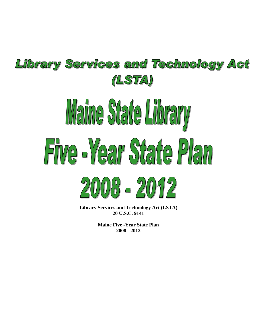# Library Services and Technology Act (LSTA) Maine State Library Five Near State Plan  $20008 - 2012$

**Library Services and Technology Act (LSTA) 20 U.S.C. 9141** 

> **Maine Five -Year State Plan 2008 - 2012**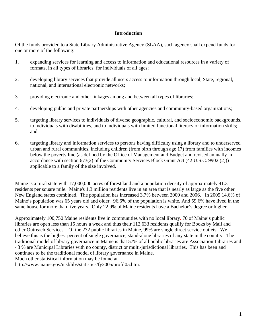#### **Introduction**

Of the funds provided to a State Library Administrative Agency (SLAA), such agency shall expend funds for one or more of the following:

- 1. expanding services for learning and access to information and educational resources in a variety of formats, in all types of libraries, for individuals of all ages;
- 2. developing library services that provide all users access to information through local, State, regional, national, and international electronic networks;
- 3. providing electronic and other linkages among and between all types of libraries;
- 4. developing public and private partnerships with other agencies and community-based organizations;
- 5. targeting library services to individuals of diverse geographic, cultural, and socioeconomic backgrounds, to individuals with disabilities, and to individuals with limited functional literacy or information skills; and
- 6. targeting library and information services to persons having difficulty using a library and to underserved urban and rural communities, including children (from birth through age 17) from families with incomes below the poverty line (as defined by the Office of Management and Budget and revised annually in accordance with section 673(2) of the Community Services Block Grant Act (42 U.S.C. 9902 (2))) applicable to a family of the size involved.

Maine is a rural state with 17,000,000 acres of forest land and a population density of approximately 41.3 residents per square mile. Maine's 1.3 million residents live in an area that is nearly as large as the five other New England states combined. The population has increased 3.7% between 2000 and 2006. In 2005 14.6% of Maine's population was 65 years old and older. 96.6% of the population is white. And 59.6% have lived in the same house for more than five years. Only 22.9% of Maine residents have a Bachelor's degree or higher.

Approximately 100,750 Maine residents live in communities with no local library. 70 of Maine's public libraries are open less than 15 hours a week and thus their 112,633 residents qualify for Books by Mail and other Outreach Services. Of the 272 public libraries in Maine, 99% are single direct service outlets. We believe this is the highest percent of single governance, stand-alone libraries of any state in the country. The traditional model of library governance in Maine is that 57% of all public libraries are Association Libraries and 43 % are Municipal Libraries with no county, district or multi-jurisdictional libraries. This has been and continues to be the traditional model of library governance in Maine. Much other statistical information may be found at

http://www.maine.gov/msl/libs/statistics/fy2005/profil05.htm.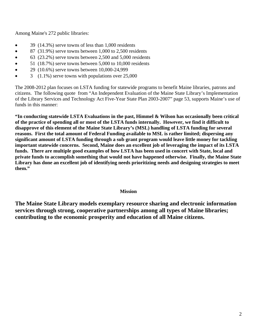Among Maine's 272 public libraries:

- 39 (14.3%) serve towns of less than 1,000 residents
- 87 (31.9%) serve towns between 1,000 to 2,500 residents
- $\bullet$  63 (23.2%) serve towns between 2,500 and 5,000 residents
- $\bullet$  51 (18.7%) serve towns between 5,000 to 10,000 residents
- 29 (10.6%) serve towns between 10,000-24,999
- $3$  (1.1%) serve towns with populations over 25,000

The 2008-2012 plan focuses on LSTA funding for statewide programs to benefit Maine libraries, patrons and citizens. The following quote from "An Independent Evaluation of the Maine State Library's Implementation of the Library Services and Technology Act Five-Year State Plan 2003-2007" page 53, supports Maine's use of funds in this manner:

**"In conducting statewide LSTA Evaluations in the past, Himmel & Wilson has occasionally been critical of the practice of spending all or most of the LSTA funds internally. However, we find it difficult to disapprove of this element of the Maine State Library's (MSL) handling of LSTA funding for several reasons. First the total amount of Federal Funding available to MSL is rather limited; dispersing any significant amount of LSTA funding through a sub grant program would leave little money for tackling important statewide concerns. Second, Maine does an excellent job of leveraging the impact of its LSTA funds. There are multiple good examples of how LSTA has been used in concert with State, local and private funds to accomplish something that would not have happened otherwise. Finally, the Maine State Library has done an excellent job of identifying needs prioritizing needs and designing strategies to meet them."** 

#### **Mission**

**The Maine State Library models exemplary resource sharing and electronic information services through strong, cooperative partnerships among all types of Maine libraries; contributing to the economic prosperity and education of all Maine citizens.**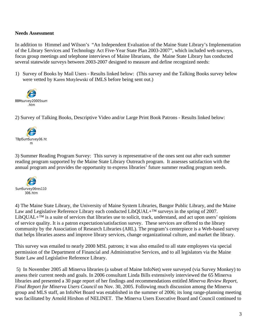#### **Needs Assessment**

In addition to Himmel and Wilson's "An Independent Evaluation of the Maine State Library's Implementation of the Library Services and Technology Act Five-Year State Plan 2003-2007", which included web surveys, focus group meetings and telephone interviews of Maine librarians, the Maine State Library has conducted several statewide surveys between 2003-2007 designed to measure and define recognized needs:

1) Survey of Books by Mail Users - Results linked below: (This survey and the Talking Books survey below were vetted by Karen Motylewski of IMLS before being sent out.)



2) Survey of Talking Books, Descriptive Video and/or Large Print Book Patrons - Results linked below:



3) Summer Reading Program Survey: This survey is representative of the ones sent out after each summer reading program supported by the Maine State Library Outreach program. It assesses satisfaction with the annual program and provides the opportunity to express libraries' future summer reading program needs.



4) The Maine State Library, the University of Maine System Libraries, Bangor Public Library, and the Maine Law and Legislative Reference Library each conducted LibQUAL+™ surveys in the spring of 2007. LibQUAL+™ is a suite of services that libraries use to solicit, track, understand, and act upon users' opinions of service quality. It is a patron expectation/satisfaction survey. These services are offered to the library community by the Association of Research Libraries (ARL). The program's centerpiece is a Web-based survey that helps libraries assess and improve library services, change organizational culture, and market the library.

This survey was emailed to nearly 2000 MSL patrons; it was also emailed to all state employees via special permission of the Department of Financial and Administrative Services, and to all legislators via the Maine State Law and Legislative Reference Library.

 5) In November 2005 all Minerva libraries (a subset of Maine InfoNet) were surveyed (via Survey Monkey) to assess their current needs and goals. In 2006 consultant Linda Bills extensively interviewed the 65 Minerva libraries and presented a 30 page report of her findings and recommendations entitled *Minerva Review Report, Final Report for Minerva Users Council* on Nov. 30, 2005. Following much discussion among the Minerva group and MLS staff, an InfoNet Board was established in the summer of 2006; its long range-planning meeting was facilitated by Arnold Hirshon of NELINET. The Minerva Users Executive Board and Council continued to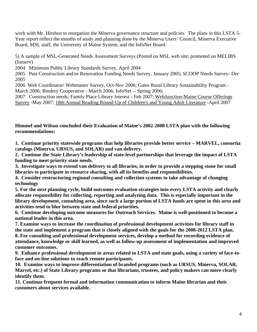work with Mr. Hirshon to reorganize the Minerva governance structure and policies. The plans in this LSTA 5-Year report reflect the months of study and planning done by the Minerva Users' Council, Minerva Executive Board, MSL staff, the University of Maine System, and the InfoNet Board.

5) A sample of MSL-Generated Needs Assessment Surveys (Posted on MSL web site; promoted on MELIBS (listserv)

2004 Minimum Public Library Standards Survey, April 2004

2005 Past Construction and/or Renovation Funding Needs Survey, January 2005; SCOOP Needs Survey- Dec 2005

2006 Web Coordinator/ Webmaster Survey, Oct-Nov 2006; Gates Rural Library Sustainability Program - March 2006; Bindery Cooperative - March 2006; InfoNet -- Spring 2006;

2007 Construction needs; Family Place Library Interest - Feb 2007; [WebJunction-Maine Course Offerings](http://www.surveymonkey.com/MySurvey_EditorPage.aspx?sm=fKsS4p%2bICjWmBGldiOPmJnZ9Pab3Lmt%2fbjSJjerhrUk%3d)  [Survey](http://www.surveymonkey.com/MySurvey_EditorPage.aspx?sm=fKsS4p%2bICjWmBGldiOPmJnZ9Pab3Lmt%2fbjSJjerhrUk%3d) -May 2007; [18th Annual Reading Round-Up of Children's and Young Adult Literature](http://www.surveymonkey.com/MySurvey_EditorPage.aspx?sm=0CUcomco8ZLdxrqqie7e0NK4m2MVge0meOjXnG1IiT0%3d) -April 2007

**Himmel and Wilson concluded their Evaluation of Maine's 2002-2008 LSTA plan with the following recommendations:** 

**1. Continue priority statewide programs that help libraries provide better service – MARVEL, consortia catalogs (Minerva, URSUS, and SOLAR) and van delivery.** 

**2. Continue the State Library's leadership of state-level partnerships that leverage the impact of LSTA funding to meet priority state needs.** 

**3. Investigate ways to extend van delivery to all libraries, in order to provide a stepping stone for small libraries to participate in resource sharing, with all its benefits and responsibilities.** 

**4. Consider restructuring regional consulting and collection systems to take advantage of changing technology** 

**5. For the next planning cycle, build outcomes evaluation strategies into every LSTA activity and clearly allocate responsibility for collecting, reporting and analyzing data. This is especially important in the library development, consulting area, since such a large portion of LSTA funds are spent in this area and activities tend to blur between state and federal priorities.** 

**6. Continue developing outcome measures for Outreach Services. Maine is well-positioned to become a national leader in this area.** 

**7. Examine ways to increase the coordination of professional development activities for library staff in the state and implement a program that is closely aligned with the goals for the 2008-2012 LSTA plan. 8. For consulting and professional development services, develop a method for recording evidence of** 

**attendance, knowledge or skill learned, as well as follow-up assessment of implementation and improved customer outcomes.** 

**9. Enhance professional development in areas related to LSTA and state goals, using a variety of face-toface and on-line solutions to reach remote participants.** 

**10. Examine ways to improve differentiation of branded programs (such as URSUS, Minerva, SOLAR, Marvel, etc.) of State Library programs so that librarians, trustees, and policy makers can more clearly identify them.** 

**11. Continue frequent formal and information communication to inform Maine librarian and their customers about services available.**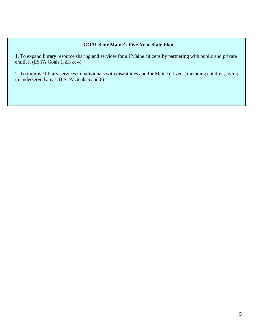#### **GOALS for Maine's Five-Year State Plan**

1. To expand library resource sharing and services for all Maine citizens by partnering with public and private entities. (LSTA Goals 1,2,3 & 4)

2. To improve library services to individuals with disabilities and for Maine citizens, including children, living in underserved areas. (LSTA Goals 5 and 6)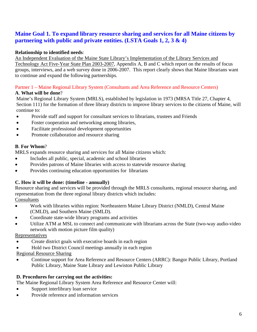# **Maine Goal 1. To expand library resource sharing and services for all Maine citizens by partnering with public and private entities. (LSTA Goals 1, 2, 3 & 4)**

# **Relationship to identified needs**:

An Independent Evaluation of the Maine State Library's Implementation of the Library Services and Technology Act Five-Year State Plan 2003-2007, Appendix A, B and C which report on the results of focus groups, interviews, and a web survey done in 2006-2007. This report clearly shows that Maine librarians want to continue and expand the following partnerships.

# Partner 1 – Maine Regional Library System (Consultants and Area Reference and Resource Centers)

#### **A**. **What will be done**?

Maine's Regional Library System (MRLS), established by legislation in 1973 (MRSA Title 27, Chapter 4, Section 111) for the formation of three library districts to improve library services to the citizens of Maine, will continue to:

- Provide staff and support for consultant services to librarians, trustees and Friends
- Foster cooperation and networking among libraries,
- Facilitate professional development opportunities
- Promote collaboration and resource sharing

# **B**. **For Whom**?

MRLS expands resource sharing and services for all Maine citizens which:

- Includes all public, special, academic and school libraries
- Provides patrons of Maine libraries with access to statewide resource sharing
- Provides continuing education opportunities for librarians

# **C. How it will be done: (timeline - annually)**

Resource sharing and services will be provided through the MRLS consultants, regional resource sharing, and representation from the three regional library districts which includes:

Consultants

- Work with libraries within region: Northeastern Maine Library District (NMLD), Central Maine (CMLD), and Southern Maine (SMLD).
- Coordinate state-wide library programs and activities
- Utilize ATM at MSL to connect and communicate with librarians across the State (two-way audio-video network with motion picture film quality)

#### Representatives

- Create district goals with executive boards in each region
- Hold two District Council meetings annually in each region

Regional Resource Sharing

• Continue support for Area Reference and Resource Centers (ARRC): Bangor Public Library, Portland Public Library, Maine State Library and Lewiston Public Library

# **D. Procedures for carrying out the activities:**

The Maine Regional Library System Area Reference and Resource Center will:

- Support interlibrary loan service
- Provide reference and information services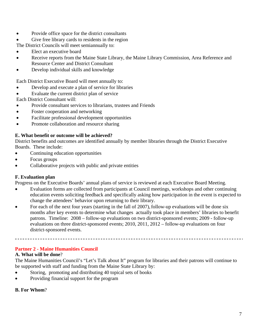- Provide office space for the district consultants
- Give free library cards to residents in the region

The District Councils will meet semiannually to:

- Elect an executive board
- Receive reports from the Maine State Library, the Maine Library Commission, Area Reference and Resource Center and District Consultant
- Develop individual skills and knowledge

Each District Executive Board will meet annually to:

- Develop and execute a plan of service for libraries
- Evaluate the current district plan of service

Each District Consultant will:

- Provide consultant services to librarians, trustees and Friends
- Foster cooperation and networking
- Facilitate professional development opportunities
- Promote collaboration and resource sharing

#### **E. What benefit or outcome will be achieved?**

District benefits and outcomes are identified annually by member libraries through the District Executive Boards. These include:

- Continuing education opportunities
- Focus groups

.

• Collaborative projects with public and private entities

#### **F. Evaluation plan**

Progress on the Executive Boards' annual plans of service is reviewed at each Executive Board Meeting.

- Evaluation forms are collected from participants at Council meetings, workshops and other continuing education events soliciting feedback and specifically asking how participation in the event is expected to change the attendees' behavior upon returning to their library.
- For each of the next four years (starting in the fall of 2007), follow-up evaluations will be done six months after key events to determine what changes actually took place in members' libraries to benefit patrons. Timeline: 2008 – follow-up evaluations on two district-sponsored events; 2009 - follow-up evaluations on three district-sponsored events; 2010, 2011, 2012 – follow-up evaluations on four district-sponsored events.

#### **Partner 2 - Maine Humanities Council**

#### **A. What will be done**?

The Maine Humanities Council's "Let's Talk about It" program for libraries and their patrons will continue to be supported with staff and funding from the Maine State Library by:

- Storing, promoting and distributing 40 topical sets of books
- Providing financial support for the program

#### **B. For Whom**?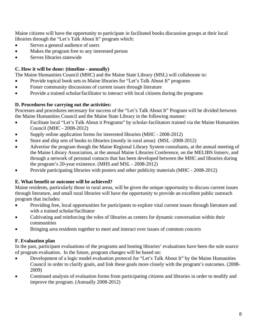Maine citizens will have the opportunity to participate in facilitated books discussion groups at their local libraries through the "Let's Talk About It" program which:

- Serves a general audience of users
- Makes the program free to any interested person
- Serves libraries statewide

# **C. How it will be done: (timeline - annually)**

The Maine Humanities Council (MHC) and the Maine State Library (MSL) will collaborate to:

- Provide topical book sets to Maine libraries for "Let's Talk About It" programs
- Foster community discussions of current issues through literature
- Provide a trained scholar/facilitator to interact with local citizens during the programs

# **D. Procedures for carrying out the activities:**

Processes and procedures necessary for success of the "Let's Talk About It" Program will be divided between the Maine Humanities Council and the Maine State Library in the following manner:

- Facilitate local "Let's Talk About it Programs" by scholar-facilitators trained via the Maine Humanities Council (MHC - 2008-2012)
- Supply online application forms for interested libraries (MHC 2008-2012)
- Store and ship sets of books to libraries (mostly in rural areas) (MSL -2008-2012)
- Advertise the program though the Maine Regional Library System consultants, at the annual meeting of the Maine Library Association, at the annual Maine Libraries Conference, on the MELIBS listserv, and through a network of personal contacts that has been developed between the MHC and libraries during the program's 20-year existence. (MHS and MSL - 2008-2012)
- Provide participating libraries with posters and other publicity materials (MHC 2008-2012)

# **E. What benefit or outcome will be achieved?**

Maine residents, particularly those in rural areas, will be given the unique opportunity to discuss current issues through literature, and small rural libraries will have the opportunity to provide an excellent public outreach program that includes:

- Providing free, local opportunities for participants to explore vital current issues through literature and with a trained scholar/facilitator
- Cultivating and reinforcing the roles of libraries as centers for dynamic conversation within their communities
- Bringing area residents together to meet and interact over issues of common concern

# **F. Evaluation plan**

In the past, participant evaluations of the programs and hosting libraries' evaluations have been the sole source of program evaluation. In the future, program changes will be based on:

- Development of a logic model evaluation protocol for "Let's Talk About It" by the Maine Humanities Council in order to clarify goals, and link these goals more closely with the program's outcomes. (2008- 2009)
- Continued analysis of evaluation forms from participating citizens and libraries in order to modify and improve the program. (Annually 2008-2012)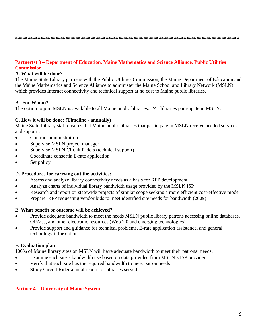#### **Partner(s) 3 – Department of Education, Maine Mathematics and Science Alliance, Public Utilities Commission**

#### **A. What will be done**?

The Maine State Library partners with the Public Utilities Commission, the Maine Department of Education and the Maine Mathematics and Science Alliance to administer the Maine School and Library Network (MSLN) which provides Internet connectivity and technical support at no cost to Maine public libraries.

#### **B. For Whom?**

The option to join MSLN is available to all Maine public libraries. 241 libraries participate in MSLN.

#### **C. How it will be done: (Timeline - annually)**

Maine State Library staff ensures that Maine public libraries that participate in MSLN receive needed services and support.

- Contract administration
- Supervise MSLN project manager
- Supervise MSLN Circuit Riders (technical support)
- Coordinate consortia E-rate application
- Set policy

#### **D. Procedures for carrying out the activities:**

- Assess and analyze library connectivity needs as a basis for RFP development
- Analyze charts of individual library bandwidth usage provided by the MSLN ISP
- Research and report on statewide projects of similar scope seeking a more efficient cost-effective model
- Prepare RFP requesting vendor bids to meet identified site needs for bandwidth (2009)

#### **E. What benefit or outcome will be achieved?**

- Provide adequate bandwidth to meet the needs MSLN public library patrons accessing online databases, OPACs, and other electronic resources (Web 2.0 and emerging technologies)
- Provide support and guidance for technical problems, E-rate application assistance, and general technology information

#### **F. Evaluation plan**

100% of Maine library sites on MSLN will have adequate bandwidth to meet their patrons' needs:

- Examine each site's bandwidth use based on data provided from MSLN's ISP provider
- Verify that each site has the required bandwidth to meet patron needs
- Study Circuit Rider annual reports of libraries served

#### **Partner 4 – University of Maine System**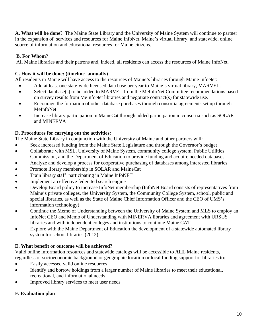**A. What will be done**? The Maine State Library and the University of Maine System will continue to partner in the expansion of services and resources for Maine InfoNet, Maine's virtual library, and statewide, online source of information and educational resources for Maine citizens.

# **B**. **For Whom**?

All Maine libraries and their patrons and, indeed, all residents can access the resources of Maine InfoNet.

# **C. How it will be done: (timeline -annually)**

All residents in Maine will have access to the resources of Maine's libraries through Maine InfoNet:

- Add at least one state-wide licensed data base per year to Maine's virtual library, MARVEL.
- Select database(s) to be added to MARVEL from the MeInfoNet Committee recommendations based on survey results from MeInfoNet libraries and negotiate contract(s) for statewide use.
- Encourage the formation of other database purchases through consortia agreements set up through MeInfoNet
- Increase library participation in MaineCat through added participation in consortia such as SOLAR and MINERVA

# **D. Procedures for carrying out the activities:**

The Maine State Library in conjunction with the University of Maine and other partners will:

- Seek increased funding from the Maine State Legislature and through the Governor's budget
- Collaborate with MSL, University of Maine System, community college system, Public Utilities Commission, and the Department of Education to provide funding and acquire needed databases
- Analyze and develop a process for cooperative purchasing of databases among interested libraries
- Promote library membership in SOLAR and MaineCat
- Train library staff participating in Maine InfoNET
- Implement an effective federated search engine
- Develop Board policy to increase InfoNet membership (InfoNet Board consists of representatives from Maine's private colleges, the University System, the Community College System, school, public and special libraries, as well as the State of Maine Chief Information Officer and the CEO of UMS's information technology)
- Continue the Memo of Understanding between the University of Maine System and MLS to employ an InfoNet CEO and Memo of Understanding with MINERVA libraries and agreement with URSUS libraries and with independent colleges and institutions to continue Maine CAT
- Explore with the Maine Department of Education the development of a statewide automated library system for school libraries (2012)

# **E. What benefit or outcome will be achieved?**

Valid online information resources and statewide catalogs will be accessible to **ALL** Maine residents, regardless of socioeconomic background or geographic location or local funding support for libraries to:

- Easily accessed valid online resources
- Identify and borrow holdings from a larger number of Maine libraries to meet their educational, recreational, and informational needs
- Improved library services to meet user needs

# **F. Evaluation plan**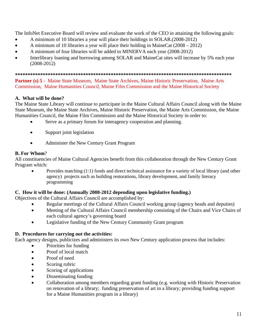The InfoNet Executive Board will review and evaluate the work of the CEO in attaining the following goals:

- A minimum of 10 libraries a year will place their holdings in SOLAR.(2008-2012)
- A minimum of 10 libraries a year will place their holding in MaineCat (2008 2012)
- A minimum of four libraries will be added to MINERVA each year (2008-2012)
- Interlibrary loaning and borrowing among SOLAR and MaineCat sites will increase by 5% each year (2008-2012)

**\*\*\*\*\*\*\*\*\*\*\*\*\*\*\*\*\*\*\*\*\*\*\*\*\*\*\*\*\*\*\*\*\*\*\*\*\*\*\*\*\*\*\*\*\*\*\*\*\*\*\*\*\*\*\*\*\*\*\*\*\*\*\*\*\*\*\*\*\*\*\*\*\*\*\*\*\*\*\*\*\*\*\*\*\*\*** 

Partner (s) 5 - Maine State Museum, Maine State Archives, Maine Historic Preservation, Maine Arts Commission, Maine Humanities Council, Maine Film Commission and the Maine Historical Society

# **A. What will be done?**

The Maine State Library will continue to participate in the Maine Cultural Affairs Council along with the Maine State Museum, the Maine State Archives, Maine Historic Preservation, the Maine Arts Commission, the Maine Humanities Council, the Maine Film Commission and the Maine Historical Society in order to:

- Serve as a primary forum for interagency cooperation and planning.
- Support joint legislation
- Administer the New Century Grant Program

# **B. For Whom**?

All constituencies of Maine Cultural Agencies benefit from this collaboration through the New Century Grant Program which:

• Provides matching (1:1) funds and direct technical assistance for a variety of local library (and other agency) projects such as building restorations, library development, and family literacy programming

#### **C. How it will be done: (Annually 2008-2012 depending upon legislative funding.)**

Objectives of the Cultural Affairs Council are accomplished by:

- Regular meetings of the Cultural Affairs Council working group (agency heads and deputies)
- Meeting of the Cultural Affairs Council membership consisting of the Chairs and Vice Chairs of each cultural agency's governing board
- Legislative funding of the New Century Community Grant program

# **D. Procedures for carrying out the activities:**

Each agency designs, publicizes and administers its own New Century application process that includes:

- Priorities for funding
- Proof of local match
- Proof of need
- Scoring rubric
- Scoring of applications
- Disseminating funding
- Collaboration among members regarding grant funding (e.g. working with Historic Preservation on renovation of a library; funding preservation of art in a library; providing funding support for a Maine Humanities program in a library)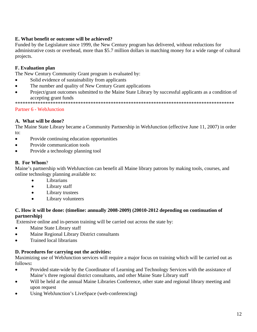# **E. What benefit or outcome will be achieved?**

Funded by the Legislature since 1999, the New Century program has delivered, without reductions for administrative costs or overhead, more than \$5.7 million dollars in matching money for a wide range of cultural projects.

# **F. Evaluation plan**

The New Century Community Grant program is evaluated by:

- Solid evidence of sustainability from applicants
- The number and quality of New Century Grant applications
- Project/grant outcomes submitted to the Maine State Library by successful applicants as a condition of accepting grant funds

\*\*\*\*\*\*\*\*\*\*\*\*\*\*\*\*\*\*\*\*\*\*\*\*\*\*\*\*\*\*\*\*\*\*\*\*\*\*\*\*\*\*\*\*\*\*\*\*\*\*\*\*\*\*\*\*\*\*\*\*\*\*\*\*\*\*\*\*\*\*\*\*\*\*\*\*\*\*\*\*\*\*\*\*\*\*\*

#### Partner 6 - WebJunction

#### **A. What will be done?**

The Maine State Library became a Community Partnership in WebJunction (effective June 11, 2007) in order to:

- Provide continuing education opportunities
- Provide communication tools
- Provide a technology planning tool

#### **B. For Whom**?

Maine's partnership with WebJunction can benefit all Maine library patrons by making tools, courses, and online technology planning available to:

- Librarians
- Library staff
- Library trustees
- Library volunteers

#### **C. How it will be done: (timeline: annually 2008-2009) (20010-2012 depending on continuation of partnership)**

Extensive online and in-person training will be carried out across the state by:

- Maine State Library staff
- Maine Regional Library District consultants
- Trained local librarians

#### **D. Procedures for carrying out the activities:**

Maximizing use of WebJunction services will require a major focus on training which will be carried out as follows**:** 

- Provided state-wide by the Coordinator of Learning and Technology Services with the assistance of Maine's three regional district consultants, and other Maine State Library staff
- Will be held at the annual Maine Libraries Conference, other state and regional library meeting and upon request
- Using WebJunction's LiveSpace (web-conferencing)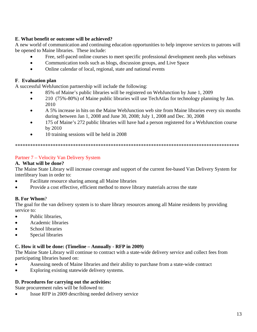# **E**. **What benefit or outcome will be achieved?**

A new world of communication and continuing education opportunities to help improve services to patrons will be opened to Maine libraries. These include:

- Free, self-paced online courses to meet specific professional development needs plus webinars
- Communication tools such as blogs, discussion groups, and Live Space
- Online calendar of local, regional, state and national events

# **F**. **Evaluation plan**

A successful WebJunction partnership will include the following:

- 85% of Maine's public libraries will be registered on WebJunction by June 1, 2009
- 210 (75%-80%) of Maine public libraries will use Techatlas for technology planning by Jan. 2010
- A 5% increase in hits on the Maine WebJunction web site from Maine libraries every six months during between Jan 1, 2008 and June 30, 2008; July 1, 2008 and Dec. 30, 2008
- 175 of Maine's 272 public libraries will have had a person registered for a WebJunction course by 2010
- 10 training sessions will be held in 2008

\*\*\*\*\*\*\*\*\*\*\*\*\*\*\*\*\*\*\*\*\*\*\*\*\*\*\*\*\*\*\*\*\*\*\*\*\*\*\*\*\*\*\*\*\*\*\*\*\*\*\*\*\*\*\*\*\*\*\*\*\*\*\*\*\*\*\*\*\*\*\*\*\*\*\*\*\*\*\*\*\*\*\*\*\*\*\*\*\*

# Partner 7 – Velocity Van Delivery System

#### **A. What will be done?**

The Maine State Library will increase coverage and support of the current fee-based Van Delivery System for interlibrary loan in order to:

- Facilitate resource sharing among all Maine libraries
- Provide a cost effective, efficient method to move library materials across the state

# **B. For Whom**?

The goal for the van delivery system is to share library resources among all Maine residents by providing service to:

- Public libraries.
- Academic libraries
- School libraries
- Special libraries

# **C. How it will be done: (Timeline – Annually - RFP in 2009)**

The Maine State Library will continue to contract with a state-wide delivery service and collect fees from participating libraries based on:

- Assessing needs of Maine libraries and their ability to purchase from a state-wide contract
- Exploring existing statewide delivery systems.

# **D. Procedures for carrying out the activities:**

State procurement rules will be followed to:

• Issue RFP in 2009 describing needed delivery service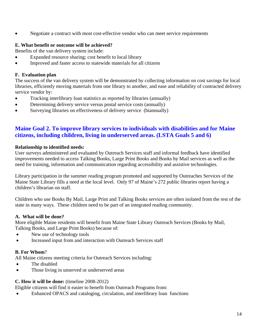• Negotiate a contract with most cost-effective vendor who can meet service requirements

# **E. What benefit or outcome will be achieved?**

Benefits of the van delivery system include:

- Expanded resource sharing; cost benefit to local library
- Improved and faster access to statewide materials for all citizens

#### **F. Evaluation plan**

The success of the van delivery system will be demonstrated by collecting information on cost savings for local libraries, efficiently moving materials from one library to another, and ease and reliability of contracted delivery service vendor by:

- Tracking interlibrary loan statistics as reported by libraries (annually)
- Determining delivery service versus postal service costs (annually)
- Surveying libraries on effectiveness of delivery service (biannually)

# **Maine Goal 2. To improve library services to individuals with disabilities and for Maine citizens, including children, living in underserved areas. (LSTA Goals 5 and 6)**

#### **Relationship to identified needs:**

User surveys administered and evaluated by Outreach Services staff and informal feedback have identified improvements needed to access Talking Books, Large Print Books and Books by Mail services as well as the need for training, information and communication regarding accessibility and assistive technologies.

Library participation in the summer reading program promoted and supported by Outreaches Services of the Maine State Library fills a need at the local level. Only 97 of Maine's 272 public libraries report having a children's librarian on staff.

Children who use Books By Mail, Large Print and Talking Books services are often isolated from the rest of the state in many ways. These children need to be part of an integrated reading community.

#### **A. What will be done?**

More eligible Maine residents will benefit from Maine State Library Outreach Services (Books by Mail, Talking Books, and Large Print Books) because of:

- New use of technology tools
- Increased input from and interaction with Outreach Services staff

# **B. For Whom**?

All Maine citizens meeting criteria for Outreach Services including:

- The disabled
- Those living in unserved or underserved areas

# **C. How it will be done:** (timeline 2008-2012)

Eligible citizens will find it easier to benefit from Outreach Programs from:

• Enhanced OPACS and cataloging, circulation, and interlibrary loan functions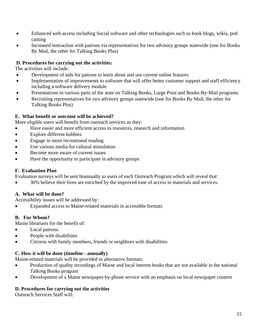- Enhanced web access including Social software and other technologies such as book blogs, wikis, pod casting
- Increased interaction with patrons via representatives for two advisory groups statewide (one for Books By Mail, the other for Talking Books Plus)

# **D**. **Procedures for carrying out the activities:**

The activities will include:

- Development of aids for patrons to learn about and use current online features
- Implementation of improvements to software that will offer better customer support and staff efficiency including a software delivery module
- Presentations in various parts of the state on Talking Books, Large Print and Books-By-Mail programs
- Recruiting representatives for two advisory groups statewide (one for Books By Mail, the other for Talking Books Plus)

# **E. What benefit or outcome will be achieved?**

More eligible users will benefit from outreach services as they:

- Have easier and more efficient access to resources, research and information
- Explore different hobbies
- Engage in more recreational reading
- Use various media for cultural stimulation
- Become more aware of current issues
- Have the opportunity to participate in advisory groups

# **F. Evaluation Plan**

Evaluation surveys will be sent biannually to users of each Outreach Program which will reveal that:

• 30% believe their lives are enriched by the improved ease of access to materials and services.

# **A. What will be done?**

Accessibility issues will be addressed by:

• Expanded access to Maine-related materials in accessible formats

# **B. For Whom?**

Maine librarians for the benefit of:

- Local patrons:
- People with disabilities
- Citizens with family members, friends or neighbors with disabilities

#### **C. How it will be done (timeline - annually)**

Maine-related materials will be provided in alternative formats:

- Production of quality recordings of Maine and local interest books that are not available in the national Talking Books program
- Development of a Maine newspaper-by-phone service with an emphasis on local newspaper content

# **D. Procedures for carrying out the activities**

Outreach Services Staff will: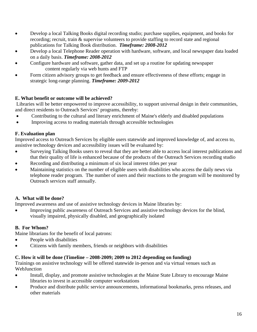- Develop a local Talking Books digital recording studio; purchase supplies, equipment, and books for recording; recruit, train & supervise volunteers to provide staffing to record state and regional publications for Talking Book distribution. *Timeframe: 2008-2012*
- Develop a local Telephone Reader operation with hardware, software, and local newspaper data loaded on a daily basis. *Timeframe: 2008-2012*
- Configure hardware and software, gather data, and set up a routine for updating newspaper content regularly via web hunts and FTP
- Form citizen advisory groups to get feedback and ensure effectiveness of these efforts; engage in strategic long-range planning. *Timeframe: 2009-2012*

# **E. What benefit or outcome will be achieved?**

 Libraries will be better empowered to improve accessibility, to support universal design in their communities, and direct residents to Outreach Services' programs, thereby:

- Contributing to the cultural and literary enrichment of Maine's elderly and disabled populations
- Improving access to reading materials through accessible technologies

# **F. Evaluation plan**

Improved access to Outreach Services by eligible users statewide and improved knowledge of, and access to, assistive technology devices and accessibility issues will be evaluated by:

- Surveying Talking Books users to reveal that they are better able to access local interest publications and that their quality of life is enhanced because of the products of the Outreach Services recording studio
- Recording and distributing a minimum of six local interest titles per year
- Maintaining statistics on the number of eligible users with disabilities who access the daily news via telephone reader program. The number of users and their reactions to the program will be monitored by Outreach services staff annually.

# **A. What will be done?**

Improved awareness and use of assistive technology devices in Maine libraries by:

• Improving public awareness of Outreach Services and assistive technology devices for the blind, visually impaired, physically disabled, and geographically isolated

# **B. For Whom?**

Maine librarians for the benefit of local patrons:

- People with disabilities
- Citizens with family members, friends or neighbors with disabilities

# **C. How it will be done (Timeline – 2008-2009; 2009 to 2012 depending on funding)**

Trainings on assistive technology will be offered statewide in-person and via virtual venues such as WebJunction

- Install, display, and promote assistive technologies at the Maine State Library to encourage Maine libraries to invest in accessible computer workstations
- Produce and distribute public service announcements, informational bookmarks, press releases, and other materials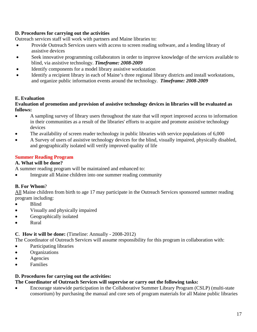# **D. Procedures for carrying out the activities**

Outreach services staff will work with partners and Maine libraries to:

- Provide Outreach Services users with access to screen reading software, and a lending library of assistive devices
- Seek innovative programming collaborators in order to improve knowledge of the services available to blind, via assistive technology. *Timeframe: 2008-2009*
- Identify components for a model library assistive workstation
- Identify a recipient library in each of Maine's three regional library districts and install workstations, and organize public information events around the technology. *Timeframe: 2008-2009*

#### **E. Evaluation**

#### **Evaluation of promotion and provision of assistive technology devices in libraries will be evaluated as follows:**

- A sampling survey of library users throughout the state that will report improved access to information in their communities as a result of the libraries' efforts to acquire and promote assistive technology devices
- The availability of screen reader technology in public libraries with service populations of 6,000
- A Survey of users of assistive technology devices for the blind, visually impaired, physically disabled, and geographically isolated will verify improved quality of life

# **Summer Reading Program**

#### **A. What will be done?**

A summer reading program will be maintained and enhanced to:

• Integrate all Maine children into one summer reading community

#### **B. For Whom**?

All Maine children from birth to age 17 may participate in the Outreach Services sponsored summer reading program including:

- Blind
- Visually and physically impaired
- Geographically isolated
- Rural

#### **C**. **How it will be done:** (Timeline: Annually - 2008-2012)

The Coordinator of Outreach Services will assume responsibility for this program in collaboration with:

- Participating libraries
- Organizations
- Agencies
- Families

#### **D. Procedures for carrying out the activities:**

#### **The Coordinator of Outreach Services will supervise or carry out the following tasks:**

• Encourage statewide participation in the Collaborative Summer Library Program (CSLP) (multi-state consortium) by purchasing the manual and core sets of program materials for all Maine public libraries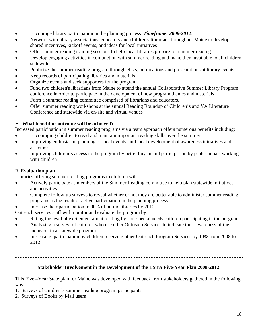- Encourage library participation in the planning process *Timeframe: 2008-2012*.
- Network with library associations, educators and children's librarians throughout Maine to develop shared incentives, kickoff events, and ideas for local initiatives
- Offer summer reading training sessions to help local libraries prepare for summer reading
- Develop engaging activities in conjunction with summer reading and make them available to all children statewide
- Publicize the summer reading program through elists, publications and presentations at library events
- Keep records of participating libraries and materials
- Organize events and seek supporters for the program
- Fund two children's librarians from Maine to attend the annual Collaborative Summer Library Program conference in order to participate in the development of new program themes and materials
- Form a summer reading committee comprised of librarians and educators.
- Offer summer reading workshops at the annual Reading Roundup of Children's and YA Literature Conference and statewide via on-site and virtual venues

# **E. What benefit or outcome will be achieved?**

Increased participation in summer reading programs via a team approach offers numerous benefits including:

- Encouraging children to read and maintain important reading skills over the summer
- Improving enthusiasm, planning of local events, and local development of awareness initiatives and activities
- Improving children's access to the program by better buy-in and participation by professionals working with children

# **F. Evaluation plan**

Libraries offering summer reading programs to children will:

- Actively participate as members of the Summer Reading committee to help plan statewide initiatives and activities
- Complete follow-up surveys to reveal whether or not they are better able to administer summer reading programs as the result of active participation in the planning process

• Increase their participation to 90% of public libraries by 2012

Outreach services staff will monitor and evaluate the program by:

- Rating the level of excitement about reading by non-special needs children participating in the program
- Analyzing a survey of children who use other Outreach Services to indicate their awareness of their inclusion in a statewide program
- Increasing participation by children receiving other Outreach Program Services by 10% from 2008 to 2012

# **Stakeholder Involvement in the Development of the LSTA Five-Year Plan 2008-2012**

This Five –Year State plan for Maine was developed with feedback from stakeholders gathered in the following ways:

- 1. Surveys of children's summer reading program participants
- 2. Surveys of Books by Mail users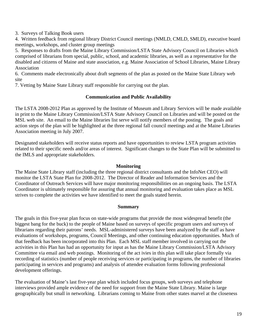3. Surveys of Talking Book users

4. Written feedback from regional library District Council meetings (NMLD, CMLD, SMLD), executive board meetings, workshops, and cluster group meetings

5. Responses to drafts from the Maine Library Commission/LSTA State Advisory Council on Libraries which comprised of librarians from special, public, school, and academic libraries, as well as a representative for the disabled and citizens of Maine and state association, e.g. Maine Association of School Libraries, Maine Library Association

6. Comments made electronically about draft segments of the plan as posted on the Maine State Library web site

7. Vetting by Maine State Library staff responsible for carrying out the plan.

#### **Communication and Public Availability**

The LSTA 2008-2012 Plan as approved by the Institute of Museum and Library Services will be made available in print to the Maine Library Commission/LSTA State Advisory Council on Libraries and will be posted on the MSL web site. An email to the Maine libraries list serve will notify members of the posting. The goals and action steps of the plan will be highlighted at the three regional fall council meetings and at the Maine Libraries Association meeting in July 2007.

Designated stakeholders will receive status reports and have opportunities to review LSTA program activities related to their specific needs and/or areas of interest. Significant changes to the State Plan will be submitted to the IMLS and appropriate stakeholders.

#### **Monitoring**

The Maine State Library staff (including the three regional district consultants and the InfoNet CEO) will monitor the LSTA State Plan for 2008-2012. The Director of Reader and Information Services and the Coordinator of Outreach Services will have major monitoring responsibilities on an ongoing basis. The LSTA Coordinator is ultimately responsible for assuring that annual monitoring and evaluation takes place as MSL strives to complete the activities we have identified to meet the goals stated herein.

#### **Summary**

The goals in this five-year plan focus on state-wide programs that provide the most widespread benefit (the biggest bang for the buck) to the people of Maine based on surveys of specific program users and surveys of librarians regarding their patrons' needs. MSL-administered surveys have been analyzed by the staff as have evaluations of workshops, programs, Council Meetings, and other continuing education opportunities. Much of that feedback has been incorporated into this Plan. Each MSL staff member involved in carrying out the activities in this Plan has had an opportunity for input as has the Maine Library Commission/LSTA Advisory Committee via email and web postings. Monitoring of the act ivies in this plan will take place formally via recording of statistics (number of people receiving services or participating in programs, the number of libraries participating in services and programs) and analysis of attendee evaluation forms following professional development offerings.

The evaluation of Maine's last five-year plan which included focus groups, web surveys and telephone interviews provided ample evidence of the need for support from the Maine State Library. Maine is large geographically but small in networking. Librarians coming to Maine from other states marvel at the closeness